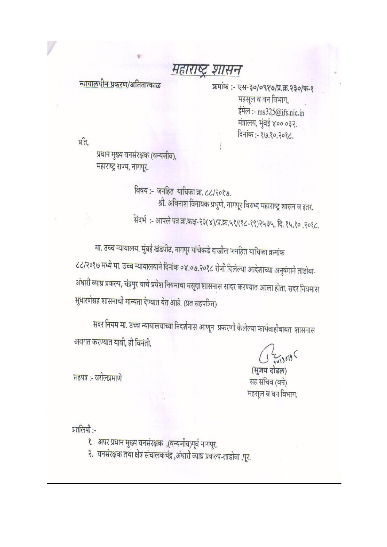## महाराष्ट्र शासन

न्यायालयीन प्रकरण/अतितात्काळ

क्रमांक :- एस-३०/०९१७/प्र.क्र.२३०/फ-१ महसूल व वन विभाग, ईमेल :- ms325@ifs.nic.in मंत्रालय, मुंबई ४०० ०३२. दिनांक: - १७.१०.२०१८.

प्रति.

प्रधान मुख्य वनसंरक्षक (वन्यजीव), महाराष्ट्र राज्य, नागपूर.

> विषय :- जनहित याचिका क्र. ८८/२०१७. श्री. अविनाश विनायक प्रभुणे, नागपूर विरुध्द महाराष्ट्र शासन व इतर. संदर्भ:- आपले पत्र क्र.कक्ष-२३(४)/प्र.क्र.५१/(१८-१९)२५३५, दि. १५.१०.२०१८.

मा. उच्च न्यायालय, मुंबई खंडपीठ, नागपूर यांचेकडे दाखील जनहित याचिका क्रमांक ८८/२०१७ मध्ये मा. उच्च न्यायालयाने दिनांक ०४.०७.२०१८ रोजी दिलेल्या आदेशाच्या अनुषंगाने ताडोबा-अंधारी व्याघ्र प्रकल्प, चंद्रपुर याचे प्रवेश नियमाचा मसूदा शासनास सादर करण्यात आला होता. सदर नियमास सुधारणेसह शासनाची मान्यता देण्यात येत आहे. (प्रत सहपत्रित)

सदर नियम मा. उच्च न्यायालयाच्या निदर्शनास आणून प्रकरणी केलेल्या कार्यवाहीबाबत शासनास अवगत करण्यात यावी, ही विनंती.

(सुजय दोडल) सह सचिव (वने) महसूल व वन विभाग.

सहपत्र :- वरीलप्रमाणे

प्रतलिपी:-

- १. अपर प्रधान मुख्य वनसंरक्षक ,(वन्यजीव)पूर्व नागपूर.
- २. वनसंरक्षक तथा क्षेत्र संचालकचंद्र ,अंधारी व्याघ्र प्रकल्प-ताडोबा ,पूर.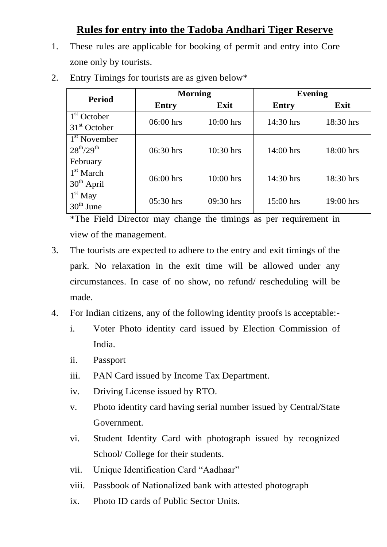## **Rules for entry into the Tadoba Andhari Tiger Reserve**

1. These rules are applicable for booking of permit and entry into Core zone only by tourists.

| <b>Period</b>                                 | <b>Morning</b> |             | <b>Evening</b> |           |
|-----------------------------------------------|----------------|-------------|----------------|-----------|
|                                               | <b>Entry</b>   | Exit        | <b>Entry</b>   | Exit      |
| $1st$ October                                 | 06:00 hrs      | $10:00$ hrs | 14:30 hrs      | 18:30 hrs |
| $31st$ October                                |                |             |                |           |
| 1 <sup>st</sup> November<br>$28^{th}/29^{th}$ | $06:30$ hrs    | 10:30 hrs   | $14:00$ hrs    | 18:00 hrs |
| February                                      |                |             |                |           |
| $1st$ March<br>$30th$ April                   | $06:00$ hrs    | $10:00$ hrs | $14:30$ hrs    | 18:30 hrs |
| $1st$ May<br>$30th$ June                      | $05:30$ hrs    | 09:30 hrs   | $15:00$ hrs    | 19:00 hrs |

2. Entry Timings for tourists are as given below\*

\*The Field Director may change the timings as per requirement in view of the management.

- 3. The tourists are expected to adhere to the entry and exit timings of the park. No relaxation in the exit time will be allowed under any circumstances. In case of no show, no refund/ rescheduling will be made.
- 4. For Indian citizens, any of the following identity proofs is acceptable:
	- i. Voter Photo identity card issued by Election Commission of India.
	- ii. Passport
	- iii. PAN Card issued by Income Tax Department.
	- iv. Driving License issued by RTO.
	- v. Photo identity card having serial number issued by Central/State Government.
	- vi. Student Identity Card with photograph issued by recognized School/ College for their students.
	- vii. Unique Identification Card "Aadhaar"
	- viii. Passbook of Nationalized bank with attested photograph
	- ix. Photo ID cards of Public Sector Units.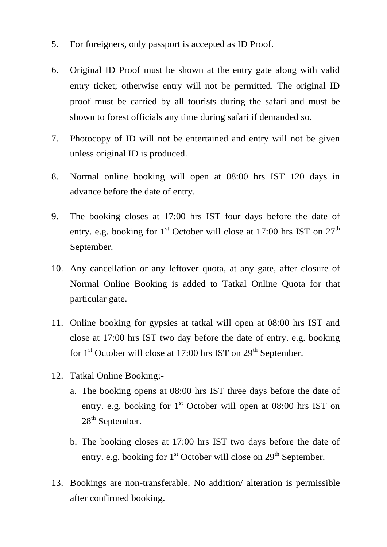- 5. For foreigners, only passport is accepted as ID Proof.
- 6. Original ID Proof must be shown at the entry gate along with valid entry ticket; otherwise entry will not be permitted. The original ID proof must be carried by all tourists during the safari and must be shown to forest officials any time during safari if demanded so.
- 7. Photocopy of ID will not be entertained and entry will not be given unless original ID is produced.
- 8. Normal online booking will open at 08:00 hrs IST 120 days in advance before the date of entry.
- 9. The booking closes at 17:00 hrs IST four days before the date of entry. e.g. booking for  $1<sup>st</sup>$  October will close at 17:00 hrs IST on  $27<sup>th</sup>$ September.
- 10. Any cancellation or any leftover quota, at any gate, after closure of Normal Online Booking is added to Tatkal Online Quota for that particular gate.
- 11. Online booking for gypsies at tatkal will open at 08:00 hrs IST and close at 17:00 hrs IST two day before the date of entry. e.g. booking for  $1<sup>st</sup>$  October will close at 17:00 hrs IST on  $29<sup>th</sup>$  September.
- 12. Tatkal Online Booking:
	- a. The booking opens at 08:00 hrs IST three days before the date of entry. e.g. booking for  $1<sup>st</sup>$  October will open at 08:00 hrs IST on 28<sup>th</sup> September.
	- b. The booking closes at 17:00 hrs IST two days before the date of entry. e.g. booking for  $1<sup>st</sup>$  October will close on  $29<sup>th</sup>$  September.
- 13. Bookings are non-transferable. No addition/ alteration is permissible after confirmed booking.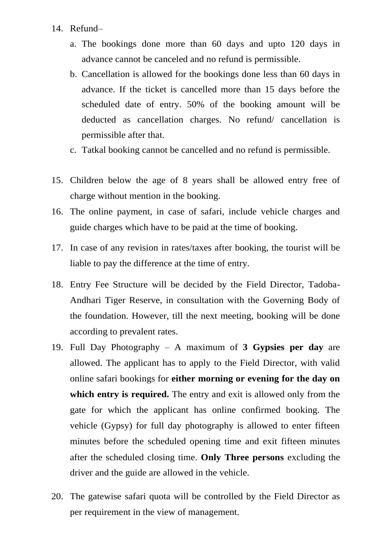- 14. Refund–
	- a. The bookings done more than 60 days and upto 120 days in advance cannot be canceled and no refund is permissible.
	- b. Cancellation is allowed for the bookings done less than 60 days in advance. If the ticket is cancelled more than 15 days before the scheduled date of entry. 50% of the booking amount will be deducted as cancellation charges. No refund/ cancellation is permissible after that.
	- c. Tatkal booking cannot be cancelled and no refund is permissible.
- 15. Children below the age of 8 years shall be allowed entry free of charge without mention in the booking.
- 16. The online payment, in case of safari, include vehicle charges and guide charges which have to be paid at the time of booking.
- 17. In case of any revision in rates/taxes after booking, the tourist will be liable to pay the difference at the time of entry.
- 18. Entry Fee Structure will be decided by the Field Director, Tadoba-Andhari Tiger Reserve, in consultation with the Governing Body of the foundation. However, till the next meeting, booking will be done according to prevalent rates.
- 19. Full Day Photography A maximum of **3 Gypsies per day** are allowed. The applicant has to apply to the Field Director, with valid online safari bookings for **either morning or evening for the day on which entry is required.** The entry and exit is allowed only from the gate for which the applicant has online confirmed booking. The vehicle (Gypsy) for full day photography is allowed to enter fifteen minutes before the scheduled opening time and exit fifteen minutes after the scheduled closing time. **Only Three persons** excluding the driver and the guide are allowed in the vehicle.
- 20. The gatewise safari quota will be controlled by the Field Director as per requirement in the view of management.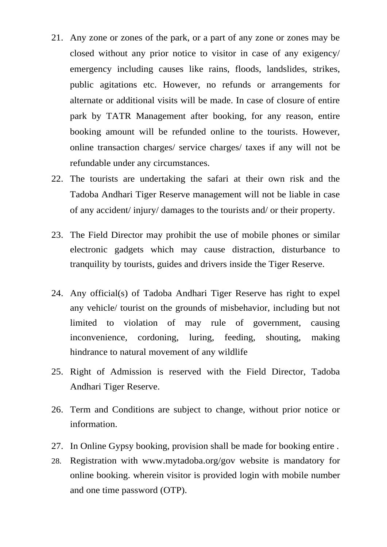- 21. Any zone or zones of the park, or a part of any zone or zones may be closed without any prior notice to visitor in case of any exigency/ emergency including causes like rains, floods, landslides, strikes, public agitations etc. However, no refunds or arrangements for alternate or additional visits will be made. In case of closure of entire park by TATR Management after booking, for any reason, entire booking amount will be refunded online to the tourists. However, online transaction charges/ service charges/ taxes if any will not be refundable under any circumstances.
- 22. The tourists are undertaking the safari at their own risk and the Tadoba Andhari Tiger Reserve management will not be liable in case of any accident/ injury/ damages to the tourists and/ or their property.
- 23. The Field Director may prohibit the use of mobile phones or similar electronic gadgets which may cause distraction, disturbance to tranquility by tourists, guides and drivers inside the Tiger Reserve.
- 24. Any official(s) of Tadoba Andhari Tiger Reserve has right to expel any vehicle/ tourist on the grounds of misbehavior, including but not limited to violation of may rule of government, causing inconvenience, cordoning, luring, feeding, shouting, making hindrance to natural movement of any wildlife
- 25. Right of Admission is reserved with the Field Director, Tadoba Andhari Tiger Reserve.
- 26. Term and Conditions are subject to change, without prior notice or information.
- 27. In Online Gypsy booking, provision shall be made for booking entire .
- 28. Registration with www.mytadoba.org/gov website is mandatory for online booking. wherein visitor is provided login with mobile number and one time password (OTP).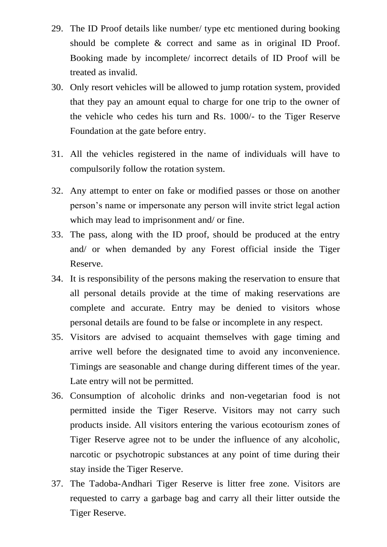- 29. The ID Proof details like number/ type etc mentioned during booking should be complete & correct and same as in original ID Proof. Booking made by incomplete/ incorrect details of ID Proof will be treated as invalid.
- 30. Only resort vehicles will be allowed to jump rotation system, provided that they pay an amount equal to charge for one trip to the owner of the vehicle who cedes his turn and Rs. 1000/- to the Tiger Reserve Foundation at the gate before entry.
- 31. All the vehicles registered in the name of individuals will have to compulsorily follow the rotation system.
- 32. Any attempt to enter on fake or modified passes or those on another person's name or impersonate any person will invite strict legal action which may lead to imprisonment and/ or fine.
- 33. The pass, along with the ID proof, should be produced at the entry and/ or when demanded by any Forest official inside the Tiger Reserve.
- 34. It is responsibility of the persons making the reservation to ensure that all personal details provide at the time of making reservations are complete and accurate. Entry may be denied to visitors whose personal details are found to be false or incomplete in any respect.
- 35. Visitors are advised to acquaint themselves with gage timing and arrive well before the designated time to avoid any inconvenience. Timings are seasonable and change during different times of the year. Late entry will not be permitted.
- 36. Consumption of alcoholic drinks and non-vegetarian food is not permitted inside the Tiger Reserve. Visitors may not carry such products inside. All visitors entering the various ecotourism zones of Tiger Reserve agree not to be under the influence of any alcoholic, narcotic or psychotropic substances at any point of time during their stay inside the Tiger Reserve.
- 37. The Tadoba-Andhari Tiger Reserve is litter free zone. Visitors are requested to carry a garbage bag and carry all their litter outside the Tiger Reserve.